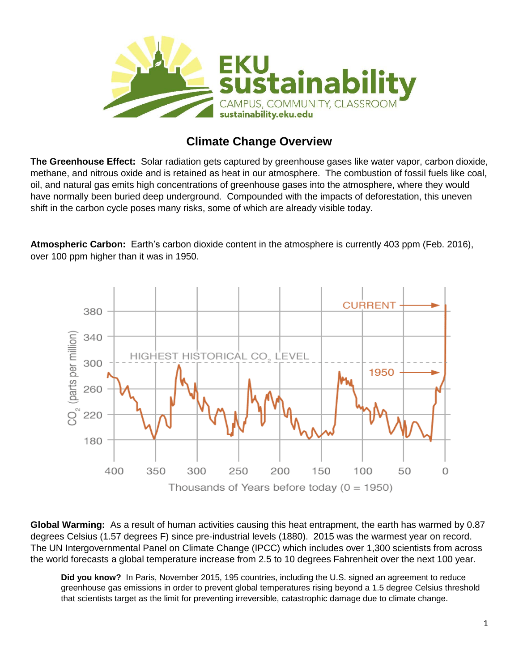

## **Climate Change Overview**

**The Greenhouse Effect:** Solar radiation gets captured by greenhouse gases like water vapor, carbon dioxide, methane, and nitrous oxide and is retained as heat in our atmosphere. The combustion of fossil fuels like coal, oil, and natural gas emits high concentrations of greenhouse gases into the atmosphere, where they would have normally been buried deep underground. Compounded with the impacts of deforestation, this uneven shift in the carbon cycle poses many risks, some of which are already visible today.

**Atmospheric Carbon:** Earth's carbon dioxide content in the atmosphere is currently 403 ppm (Feb. 2016), over 100 ppm higher than it was in 1950.



**Global Warming:** As a result of human activities causing this heat entrapment, the earth has warmed by 0.87 degrees Celsius (1.57 degrees F) since pre-industrial levels (1880). 2015 was the warmest year on record. The UN Intergovernmental Panel on Climate Change (IPCC) which includes over 1,300 scientists from across the world forecasts a global temperature increase from 2.5 to 10 degrees Fahrenheit over the next 100 year.

**Did you know?** In Paris, November 2015, 195 countries, including the U.S. signed an agreement to reduce greenhouse gas emissions in order to prevent global temperatures rising beyond a 1.5 degree Celsius threshold that scientists target as the limit for preventing irreversible, catastrophic damage due to climate change.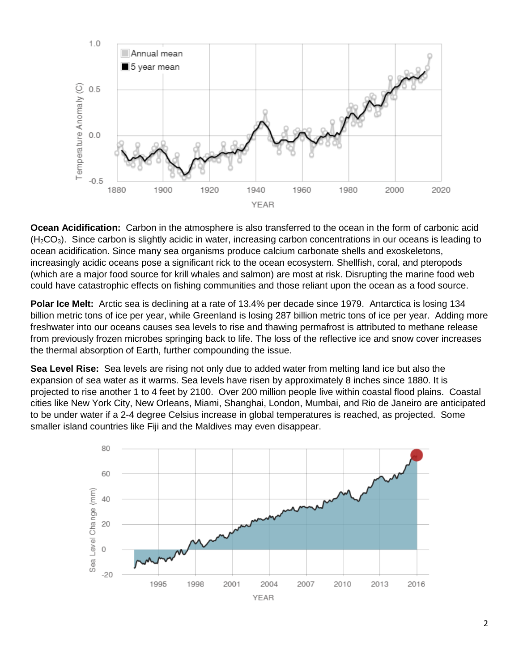

**Ocean Acidification:** Carbon in the atmosphere is also transferred to the ocean in the form of carbonic acid  $(H<sub>2</sub>CO<sub>3</sub>)$ . Since carbon is slightly acidic in water, increasing carbon concentrations in our oceans is leading to ocean acidification. Since many sea organisms produce calcium carbonate shells and exoskeletons, increasingly acidic oceans pose a significant rick to the ocean ecosystem. Shellfish, coral, and pteropods (which are a major food source for krill whales and salmon) are most at risk. Disrupting the marine food web could have catastrophic effects on fishing communities and those reliant upon the ocean as a food source.

**Polar Ice Melt:** Arctic sea is declining at a rate of 13.4% per decade since 1979. Antarctica is losing 134 billion metric tons of ice per year, while Greenland is losing 287 billion metric tons of ice per year. Adding more freshwater into our oceans causes sea levels to rise and thawing permafrost is attributed to methane release from previously frozen microbes springing back to life. The loss of the reflective ice and snow cover increases the thermal absorption of Earth, further compounding the issue.

**Sea Level Rise:** Sea levels are rising not only due to added water from melting land ice but also the expansion of sea water as it warms. Sea levels have risen by approximately 8 inches since 1880. It is projected to rise another 1 to 4 feet by 2100. Over 200 million people live within coastal flood plains. Coastal cities like New York City, New Orleans, Miami, Shanghai, London, Mumbai, and Rio de Janeiro are anticipated to be under water if a 2-4 degree Celsius increase in global temperatures is reached, as projected. Some smaller island countries like Fiji and the Maldives may even disappear.

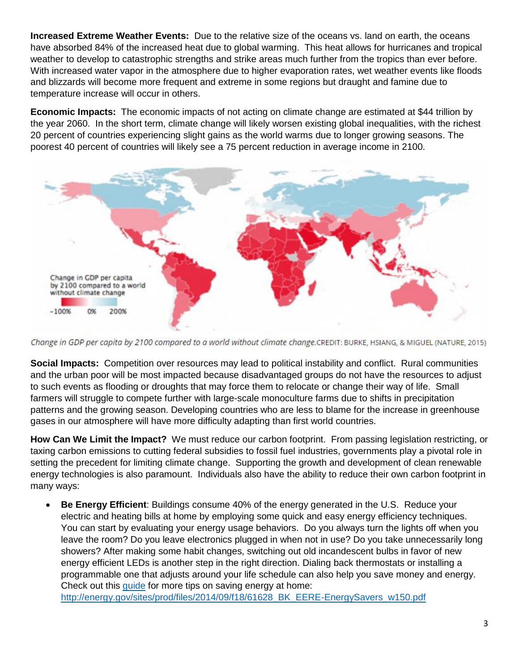**Increased Extreme Weather Events:** Due to the relative size of the oceans vs. land on earth, the oceans have absorbed 84% of the increased heat due to global warming. This heat allows for hurricanes and tropical weather to develop to catastrophic strengths and strike areas much further from the tropics than ever before. With increased water vapor in the atmosphere due to higher evaporation rates, wet weather events like floods and blizzards will become more frequent and extreme in some regions but draught and famine due to temperature increase will occur in others.

**Economic Impacts:** The economic impacts of not acting on climate change are estimated at \$44 trillion by the year 2060. In the short term, climate change will likely worsen existing global inequalities, with the richest 20 percent of countries experiencing slight gains as the world warms due to longer growing seasons. The poorest 40 percent of countries will likely see a 75 percent reduction in average income in 2100.



Change in GDP per capita by 2100 compared to a world without climate change.CREDIT: BURKE, HSIANG, & MIGUEL (NATURE, 2015)

**Social Impacts:** Competition over resources may lead to political instability and conflict. Rural communities and the urban poor will be most impacted because disadvantaged groups do not have the resources to adjust to such events as flooding or droughts that may force them to relocate or change their way of life. Small farmers will struggle to compete further with large-scale monoculture farms due to shifts in precipitation patterns and the growing season. Developing countries who are less to blame for the increase in greenhouse gases in our atmosphere will have more difficulty adapting than first world countries.

**How Can We Limit the Impact?** We must reduce our carbon footprint. From passing legislation restricting, or taxing carbon emissions to cutting federal subsidies to fossil fuel industries, governments play a pivotal role in setting the precedent for limiting climate change. Supporting the growth and development of clean renewable energy technologies is also paramount. Individuals also have the ability to reduce their own carbon footprint in many ways:

 **Be Energy Efficient**: Buildings consume 40% of the energy generated in the U.S. Reduce your electric and heating bills at home by employing some quick and easy energy efficiency techniques. You can start by evaluating your energy usage behaviors. Do you always turn the lights off when you leave the room? Do you leave electronics plugged in when not in use? Do you take unnecessarily long showers? After making some habit changes, switching out old incandescent bulbs in favor of new energy efficient LEDs is another step in the right direction. Dialing back thermostats or installing a programmable one that adjusts around your life schedule can also help you save money and energy. Check out this [guide](http://energy.gov/sites/prod/files/2014/09/f18/61628_BK_EERE-EnergySavers_w150.pdf) for more tips on saving energy at home:

[http://energy.gov/sites/prod/files/2014/09/f18/61628\\_BK\\_EERE-EnergySavers\\_w150.pdf](http://energy.gov/sites/prod/files/2014/09/f18/61628_BK_EERE-EnergySavers_w150.pdf)